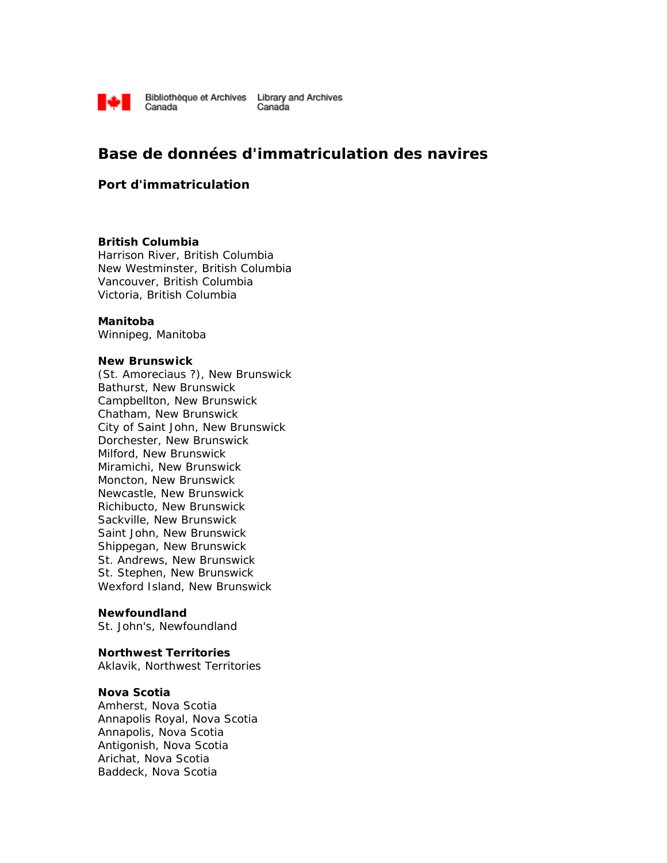

# **Base de données d'immatriculation des navires**

## **Port d'immatriculation**

#### **British Columbia**

Harrison River, British Columbia New Westminster, British Columbia Vancouver, British Columbia Victoria, British Columbia

#### **Manitoba**

Winnipeg, Manitoba

#### **New Brunswick**

(St. Amoreciaus ?), New Brunswick Bathurst, New Brunswick Campbellton, New Brunswick Chatham, New Brunswick City of Saint John, New Brunswick Dorchester, New Brunswick Milford, New Brunswick Miramichi, New Brunswick Moncton, New Brunswick Newcastle, New Brunswick Richibucto, New Brunswick Sackville, New Brunswick Saint John, New Brunswick Shippegan, New Brunswick St. Andrews, New Brunswick St. Stephen, New Brunswick Wexford Island, New Brunswick

#### **Newfoundland**

St. John's, Newfoundland

#### **Northwest Territories**

Aklavik, Northwest Territories

### **Nova Scotia**

Amherst, Nova Scotia Annapolis Royal, Nova Scotia Annapolis, Nova Scotia Antigonish, Nova Scotia Arichat, Nova Scotia Baddeck, Nova Scotia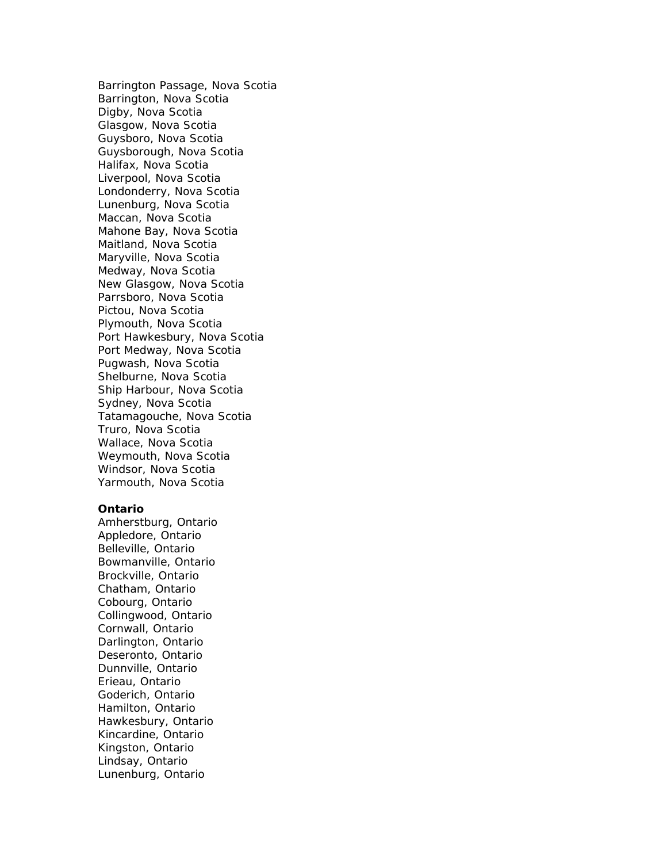Barrington Passage, Nova Scotia Barrington, Nova Scotia Digby, Nova Scotia Glasgow, Nova Scotia Guysboro, Nova Scotia Guysborough, Nova Scotia Halifax, Nova Scotia Liverpool, Nova Scotia Londonderry, Nova Scotia Lunenburg, Nova Scotia Maccan, Nova Scotia Mahone Bay, Nova Scotia Maitland, Nova Scotia Maryville, Nova Scotia Medway, Nova Scotia New Glasgow, Nova Scotia Parrsboro, Nova Scotia Pictou, Nova Scotia Plymouth, Nova Scotia Port Hawkesbury, Nova Scotia Port Medway, Nova Scotia Pugwash, Nova Scotia Shelburne, Nova Scotia Ship Harbour, Nova Scotia Sydney, Nova Scotia Tatamagouche, Nova Scotia Truro, Nova Scotia Wallace, Nova Scotia Weymouth, Nova Scotia Windsor, Nova Scotia Yarmouth, Nova Scotia

#### **Ontario**

Amherstburg, Ontario Appledore, Ontario Belleville, Ontario Bowmanville, Ontario Brockville, Ontario Chatham, Ontario Cobourg, Ontario Collingwood, Ontario Cornwall, Ontario Darlington, Ontario Deseronto, Ontario Dunnville, Ontario Erieau, Ontario Goderich, Ontario Hamilton, Ontario Hawkesbury, Ontario Kincardine, Ontario Kingston, Ontario Lindsay, Ontario Lunenburg, Ontario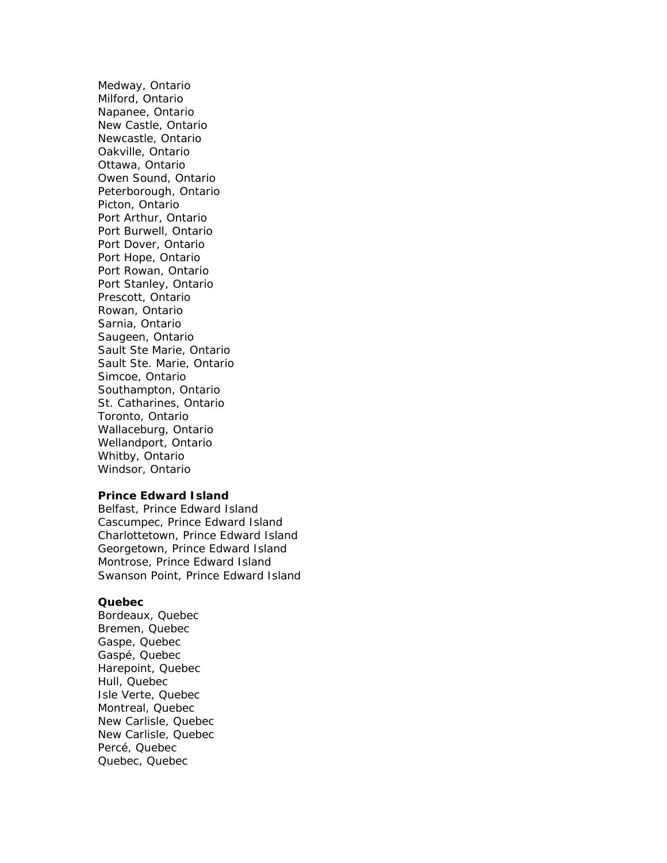Medway, Ontario Milford, Ontario Napanee, Ontario New Castle, Ontario Newcastle, Ontario Oakville, Ontario Ottawa, Ontario Owen Sound, Ontario Peterborough, Ontario Picton, Ontario Port Arthur, Ontario Port Burwell, Ontario Port Dover, Ontario Port Hope, Ontario Port Rowan, Ontario Port Stanley, Ontario Prescott, Ontario Rowan, Ontario Sarnia, Ontario Saugeen, Ontario Sault Ste Marie, Ontario Sault Ste. Marie, Ontario Simcoe, Ontario Southampton, Ontario St. Catharines, Ontario Toronto, Ontario Wallaceburg, Ontario Wellandport, Ontario Whitby, Ontario Windsor, Ontario

#### **Prince Edward Island**

Belfast, Prince Edward Island Cascumpec, Prince Edward Island Charlottetown, Prince Edward Island Georgetown, Prince Edward Island Montrose, Prince Edward Island Swanson Point, Prince Edward Island

#### **Quebec**

Bordeaux, Quebec Bremen, Quebec Gaspe, Quebec Gaspé, Quebec Harepoint, Quebec Hull, Quebec Isle Verte, Quebec Montreal, Quebec New Carlisle, Quebec New Carlisle, Quebec Percé, Quebec Quebec, Quebec